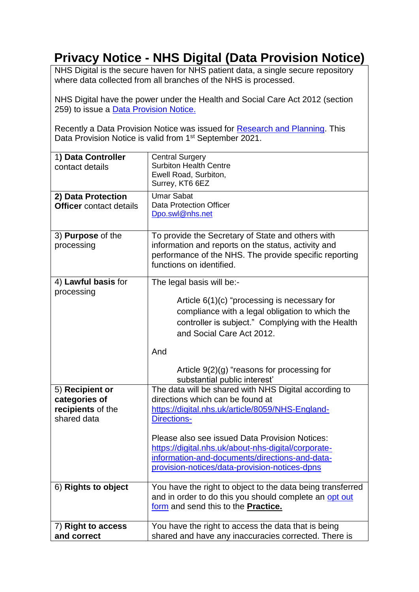## **Privacy Notice - NHS Digital (Data Provision Notice)**

NHS Digital is the secure haven for NHS patient data, a single secure repository where data collected from all branches of the NHS is processed.

NHS Digital have the power under the Health and Social Care Act 2012 (section 259) to issue a [Data Provision Notice.](https://digital.nhs.uk/about-nhs-digital/corporate-information-and-documents/directions-and-data-provision-notices/data-provision-notices-dpns)

Recently a Data Provision Notice was issued for [Research and Planning.](https://digital.nhs.uk/about-nhs-digital/corporate-information-and-documents/directions-and-data-provision-notices/data-provision-notices-dpns/general-practice-data-for-planning-and-research) This Data Provision Notice is valid from 1<sup>st</sup> September 2021.

| 1) Data Controller<br>contact details                                | <b>Central Surgery</b><br><b>Surbiton Health Centre</b><br>Ewell Road, Surbiton,<br>Surrey, KT6 6EZ                                                                                                                                                                                                                                                                             |
|----------------------------------------------------------------------|---------------------------------------------------------------------------------------------------------------------------------------------------------------------------------------------------------------------------------------------------------------------------------------------------------------------------------------------------------------------------------|
| 2) Data Protection<br><b>Officer</b> contact details                 | <b>Umar Sabat</b><br><b>Data Protection Officer</b><br>Dpo.swl@nhs.net                                                                                                                                                                                                                                                                                                          |
| 3) Purpose of the<br>processing                                      | To provide the Secretary of State and others with<br>information and reports on the status, activity and<br>performance of the NHS. The provide specific reporting<br>functions on identified.                                                                                                                                                                                  |
| 4) Lawful basis for<br>processing                                    | The legal basis will be:-<br>Article $6(1)(c)$ "processing is necessary for<br>compliance with a legal obligation to which the<br>controller is subject." Complying with the Health<br>and Social Care Act 2012.<br>And<br>Article $9(2)(g)$ "reasons for processing for<br>substantial public interest'                                                                        |
| 5) Recipient or<br>categories of<br>recipients of the<br>shared data | The data will be shared with NHS Digital according to<br>directions which can be found at<br>https://digital.nhs.uk/article/8059/NHS-England-<br><b>Directions-</b><br>Please also see issued Data Provision Notices:<br>https://digital.nhs.uk/about-nhs-digital/corporate-<br>information-and-documents/directions-and-data-<br>provision-notices/data-provision-notices-dpns |
| 6) Rights to object                                                  | You have the right to object to the data being transferred<br>and in order to do this you should complete an opt out<br>form and send this to the Practice.                                                                                                                                                                                                                     |
| 7) Right to access<br>and correct                                    | You have the right to access the data that is being<br>shared and have any inaccuracies corrected. There is                                                                                                                                                                                                                                                                     |